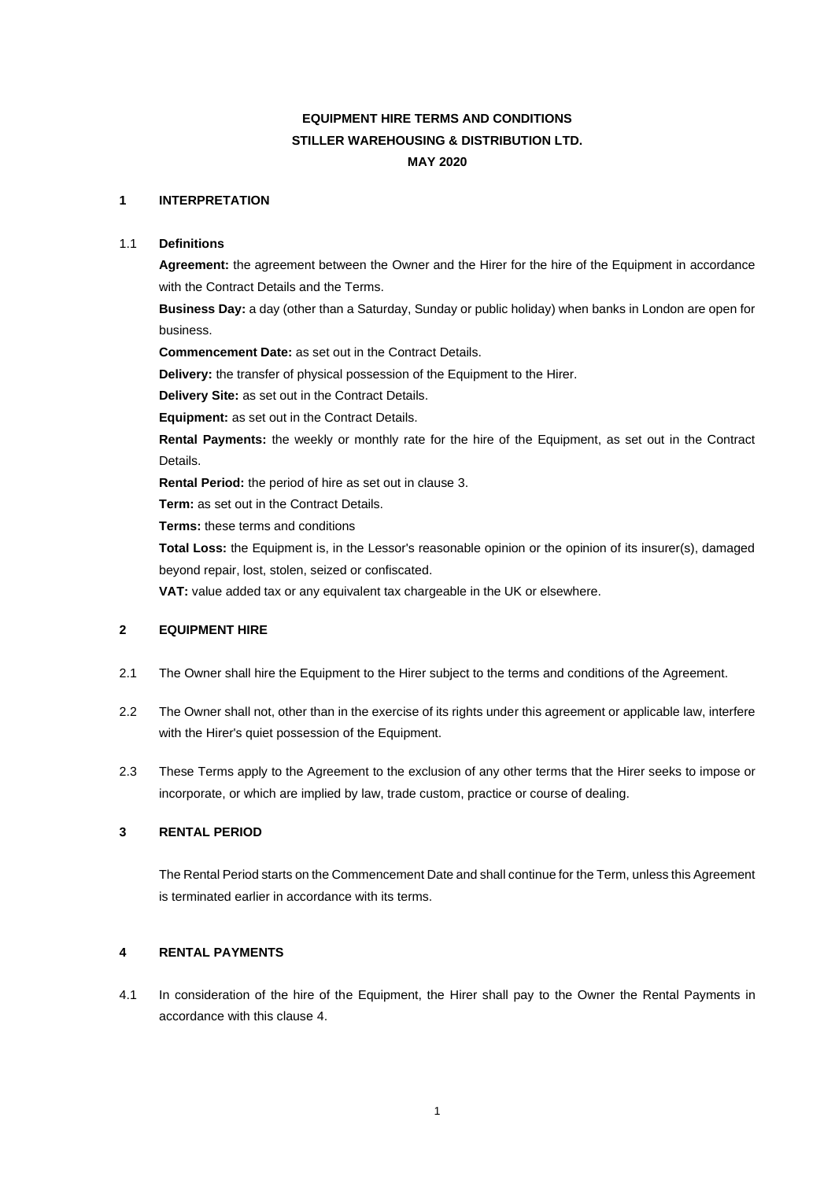# **EQUIPMENT HIRE TERMS AND CONDITIONS STILLER WAREHOUSING & DISTRIBUTION LTD. MAY 2020**

# **1 INTERPRETATION**

## 1.1 **Definitions**

**Agreement:** the agreement between the Owner and the Hirer for the hire of the Equipment in accordance with the Contract Details and the Terms.

**Business Day:** a day (other than a Saturday, Sunday or public holiday) when banks in London are open for business.

**Commencement Date:** as set out in the Contract Details.

**Delivery:** the transfer of physical possession of the Equipment to the Hirer.

**Delivery Site:** as set out in the Contract Details.

**Equipment:** as set out in the Contract Details.

**Rental Payments:** the weekly or monthly rate for the hire of the Equipment, as set out in the Contract Details.

**Rental Period:** the period of hire as set out in clause [3.](#page-0-0)

**Term:** as set out in the Contract Details.

**Terms:** these terms and conditions

**Total Loss:** the Equipment is, in the Lessor's reasonable opinion or the opinion of its insurer(s), damaged beyond repair, lost, stolen, seized or confiscated.

**VAT:** value added tax or any equivalent tax chargeable in the UK or elsewhere.

#### **2 EQUIPMENT HIRE**

- 2.1 The Owner shall hire the Equipment to the Hirer subject to the terms and conditions of the Agreement.
- 2.2 The Owner shall not, other than in the exercise of its rights under this agreement or applicable law, interfere with the Hirer's quiet possession of the Equipment.
- 2.3 These Terms apply to the Agreement to the exclusion of any other terms that the Hirer seeks to impose or incorporate, or which are implied by law, trade custom, practice or course of dealing.

# <span id="page-0-0"></span>**3 RENTAL PERIOD**

The Rental Period starts on the Commencement Date and shall continue for the Term, unless this Agreement is terminated earlier in accordance with its terms.

# <span id="page-0-1"></span>**4 RENTAL PAYMENTS**

4.1 In consideration of the hire of the Equipment, the Hirer shall pay to the Owner the Rental Payments in accordance with this clause [4.](#page-0-1)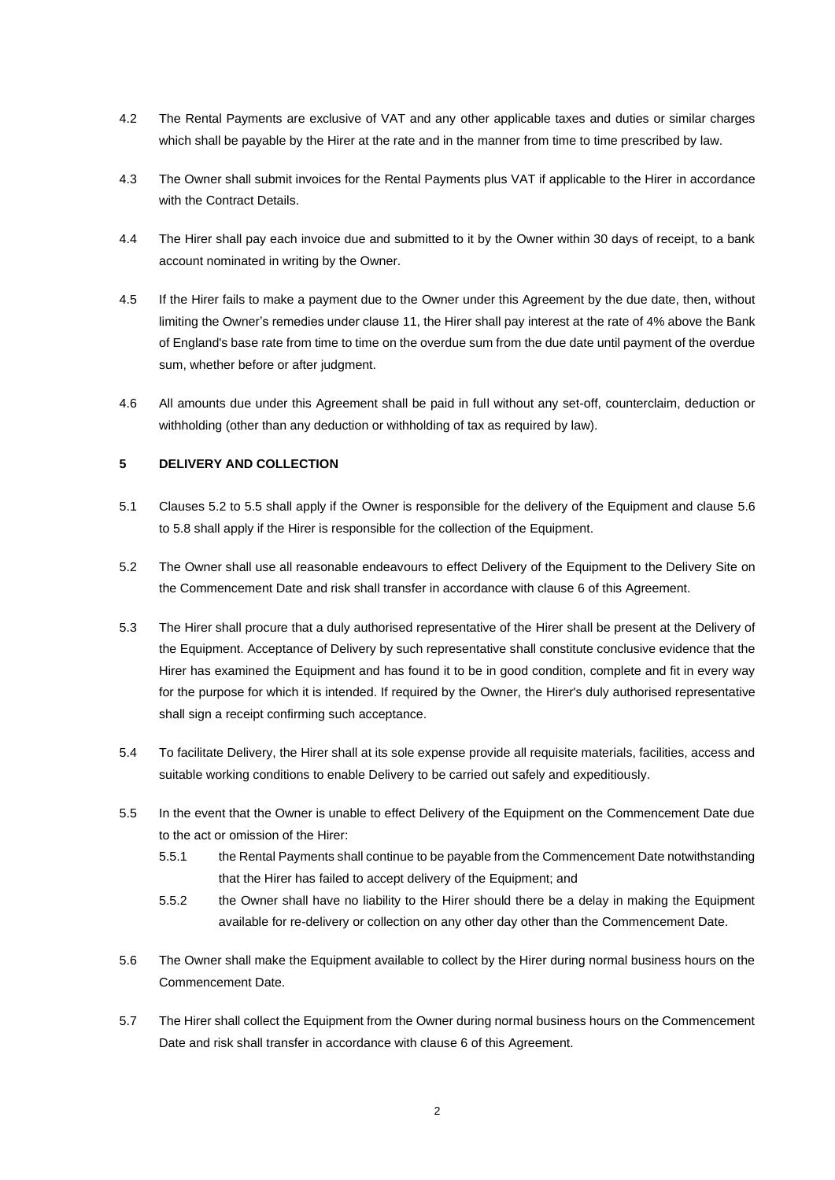- 4.2 The Rental Payments are exclusive of VAT and any other applicable taxes and duties or similar charges which shall be payable by the Hirer at the rate and in the manner from time to time prescribed by law.
- 4.3 The Owner shall submit invoices for the Rental Payments plus VAT if applicable to the Hirer in accordance with the Contract Details.
- 4.4 The Hirer shall pay each invoice due and submitted to it by the Owner within 30 days of receipt, to a bank account nominated in writing by the Owner.
- <span id="page-1-3"></span>4.5 If the Hirer fails to make a payment due to the Owner under this Agreement by the due date, then, without limiting the Owner's remedies under clause [11,](#page-6-0) the Hirer shall pay interest at the rate of 4% above the Bank of England's base rate from time to time on the overdue sum from the due date until payment of the overdue sum, whether before or after judgment.
- 4.6 All amounts due under this Agreement shall be paid in full without any set-off, counterclaim, deduction or withholding (other than any deduction or withholding of tax as required by law).

# **5 DELIVERY AND COLLECTION**

- 5.1 Clauses [5.2](#page-1-0) to [5.5](#page-1-1) shall apply if the Owner is responsible for the delivery of the Equipment and clause [5.6](#page-1-2) to [5.8](#page-2-0) shall apply if the Hirer is responsible for the collection of the Equipment.
- <span id="page-1-0"></span>5.2 The Owner shall use all reasonable endeavours to effect Delivery of the Equipment to the Delivery Site on the Commencement Date and risk shall transfer in accordance with clause [6](#page-2-1) of this Agreement.
- 5.3 The Hirer shall procure that a duly authorised representative of the Hirer shall be present at the Delivery of the Equipment. Acceptance of Delivery by such representative shall constitute conclusive evidence that the Hirer has examined the Equipment and has found it to be in good condition, complete and fit in every way for the purpose for which it is intended. If required by the Owner, the Hirer's duly authorised representative shall sign a receipt confirming such acceptance.
- 5.4 To facilitate Delivery, the Hirer shall at its sole expense provide all requisite materials, facilities, access and suitable working conditions to enable Delivery to be carried out safely and expeditiously.
- <span id="page-1-1"></span>5.5 In the event that the Owner is unable to effect Delivery of the Equipment on the Commencement Date due to the act or omission of the Hirer:
	- 5.5.1 the Rental Payments shall continue to be payable from the Commencement Date notwithstanding that the Hirer has failed to accept delivery of the Equipment; and
	- 5.5.2 the Owner shall have no liability to the Hirer should there be a delay in making the Equipment available for re-delivery or collection on any other day other than the Commencement Date.
- <span id="page-1-2"></span>5.6 The Owner shall make the Equipment available to collect by the Hirer during normal business hours on the Commencement Date.
- 5.7 The Hirer shall collect the Equipment from the Owner during normal business hours on the Commencement Date and risk shall transfer in accordance with claus[e 6](#page-2-1) of this Agreement.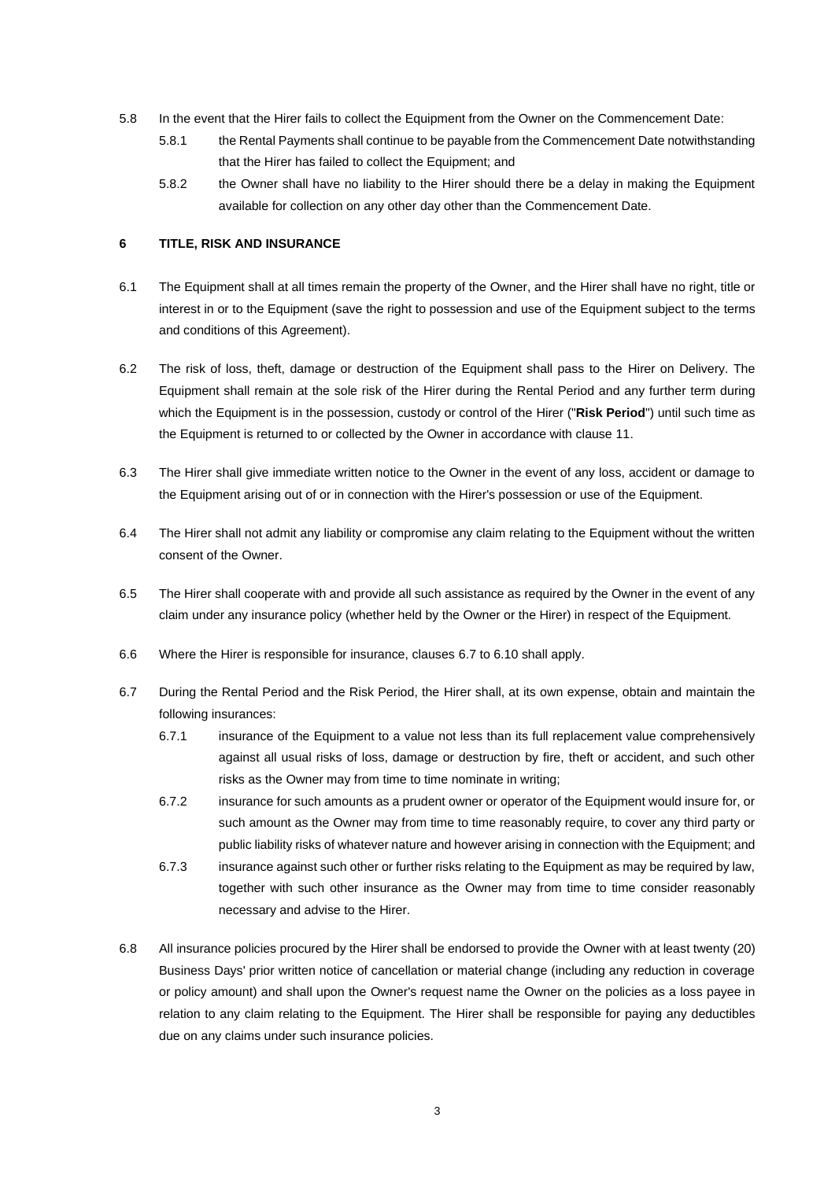- <span id="page-2-0"></span>5.8 In the event that the Hirer fails to collect the Equipment from the Owner on the Commencement Date:
	- 5.8.1 the Rental Payments shall continue to be payable from the Commencement Date notwithstanding that the Hirer has failed to collect the Equipment; and
	- 5.8.2 the Owner shall have no liability to the Hirer should there be a delay in making the Equipment available for collection on any other day other than the Commencement Date.

## <span id="page-2-1"></span>**6 TITLE, RISK AND INSURANCE**

- 6.1 The Equipment shall at all times remain the property of the Owner, and the Hirer shall have no right, title or interest in or to the Equipment (save the right to possession and use of the Equipment subject to the terms and conditions of this Agreement).
- 6.2 The risk of loss, theft, damage or destruction of the Equipment shall pass to the Hirer on Delivery. The Equipment shall remain at the sole risk of the Hirer during the Rental Period and any further term during which the Equipment is in the possession, custody or control of the Hirer ("**Risk Period**") until such time as the Equipment is returned to or collected by the Owner in accordance with clause [11.](#page-6-0)
- 6.3 The Hirer shall give immediate written notice to the Owner in the event of any loss, accident or damage to the Equipment arising out of or in connection with the Hirer's possession or use of the Equipment.
- 6.4 The Hirer shall not admit any liability or compromise any claim relating to the Equipment without the written consent of the Owner.
- 6.5 The Hirer shall cooperate with and provide all such assistance as required by the Owner in the event of any claim under any insurance policy (whether held by the Owner or the Hirer) in respect of the Equipment.
- 6.6 Where the Hirer is responsible for insurance, clauses [6.7](#page-2-2) to [6.10](#page-3-0) shall apply.
- <span id="page-2-2"></span>6.7 During the Rental Period and the Risk Period, the Hirer shall, at its own expense, obtain and maintain the following insurances:
	- 6.7.1 insurance of the Equipment to a value not less than its full replacement value comprehensively against all usual risks of loss, damage or destruction by fire, theft or accident, and such other risks as the Owner may from time to time nominate in writing;
	- 6.7.2 insurance for such amounts as a prudent owner or operator of the Equipment would insure for, or such amount as the Owner may from time to time reasonably require, to cover any third party or public liability risks of whatever nature and however arising in connection with the Equipment; and
	- 6.7.3 insurance against such other or further risks relating to the Equipment as may be required by law, together with such other insurance as the Owner may from time to time consider reasonably necessary and advise to the Hirer.
- 6.8 All insurance policies procured by the Hirer shall be endorsed to provide the Owner with at least twenty (20) Business Days' prior written notice of cancellation or material change (including any reduction in coverage or policy amount) and shall upon the Owner's request name the Owner on the policies as a loss payee in relation to any claim relating to the Equipment. The Hirer shall be responsible for paying any deductibles due on any claims under such insurance policies.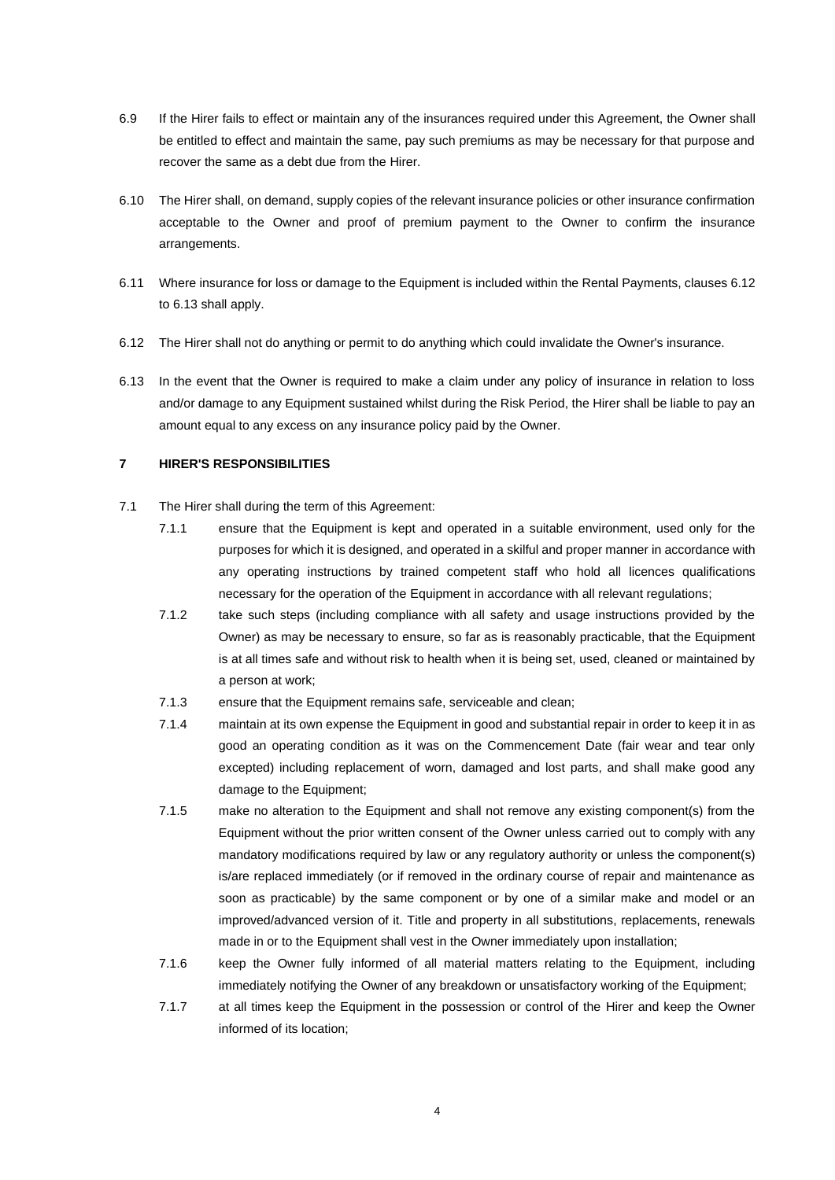- 6.9 If the Hirer fails to effect or maintain any of the insurances required under this Agreement, the Owner shall be entitled to effect and maintain the same, pay such premiums as may be necessary for that purpose and recover the same as a debt due from the Hirer.
- <span id="page-3-0"></span>6.10 The Hirer shall, on demand, supply copies of the relevant insurance policies or other insurance confirmation acceptable to the Owner and proof of premium payment to the Owner to confirm the insurance arrangements.
- 6.11 Where insurance for loss or damage to the Equipment is included within the Rental Payments, clauses [6.12](#page-3-1) to [6.13](#page-3-2) shall apply.
- <span id="page-3-1"></span>6.12 The Hirer shall not do anything or permit to do anything which could invalidate the Owner's insurance.
- <span id="page-3-2"></span>6.13 In the event that the Owner is required to make a claim under any policy of insurance in relation to loss and/or damage to any Equipment sustained whilst during the Risk Period, the Hirer shall be liable to pay an amount equal to any excess on any insurance policy paid by the Owner.

#### <span id="page-3-3"></span>**7 HIRER'S RESPONSIBILITIES**

- 7.1 The Hirer shall during the term of this Agreement:
	- 7.1.1 ensure that the Equipment is kept and operated in a suitable environment, used only for the purposes for which it is designed, and operated in a skilful and proper manner in accordance with any operating instructions by trained competent staff who hold all licences qualifications necessary for the operation of the Equipment in accordance with all relevant regulations;
	- 7.1.2 take such steps (including compliance with all safety and usage instructions provided by the Owner) as may be necessary to ensure, so far as is reasonably practicable, that the Equipment is at all times safe and without risk to health when it is being set, used, cleaned or maintained by a person at work;
	- 7.1.3 ensure that the Equipment remains safe, serviceable and clean;
	- 7.1.4 maintain at its own expense the Equipment in good and substantial repair in order to keep it in as good an operating condition as it was on the Commencement Date (fair wear and tear only excepted) including replacement of worn, damaged and lost parts, and shall make good any damage to the Equipment;
	- 7.1.5 make no alteration to the Equipment and shall not remove any existing component(s) from the Equipment without the prior written consent of the Owner unless carried out to comply with any mandatory modifications required by law or any regulatory authority or unless the component(s) is/are replaced immediately (or if removed in the ordinary course of repair and maintenance as soon as practicable) by the same component or by one of a similar make and model or an improved/advanced version of it. Title and property in all substitutions, replacements, renewals made in or to the Equipment shall vest in the Owner immediately upon installation;
	- 7.1.6 keep the Owner fully informed of all material matters relating to the Equipment, including immediately notifying the Owner of any breakdown or unsatisfactory working of the Equipment;
	- 7.1.7 at all times keep the Equipment in the possession or control of the Hirer and keep the Owner informed of its location;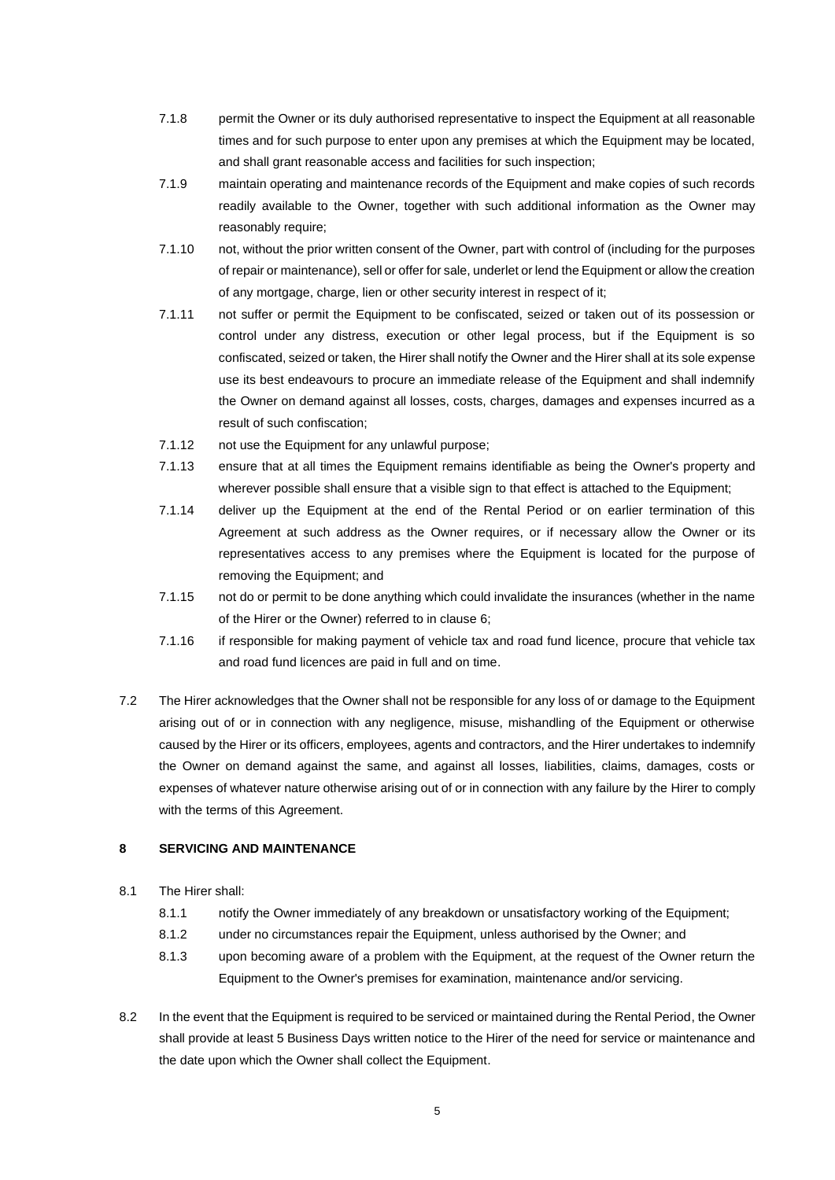- 7.1.8 permit the Owner or its duly authorised representative to inspect the Equipment at all reasonable times and for such purpose to enter upon any premises at which the Equipment may be located, and shall grant reasonable access and facilities for such inspection;
- 7.1.9 maintain operating and maintenance records of the Equipment and make copies of such records readily available to the Owner, together with such additional information as the Owner may reasonably require;
- 7.1.10 not, without the prior written consent of the Owner, part with control of (including for the purposes of repair or maintenance), sell or offer for sale, underlet or lend the Equipment or allow the creation of any mortgage, charge, lien or other security interest in respect of it;
- 7.1.11 not suffer or permit the Equipment to be confiscated, seized or taken out of its possession or control under any distress, execution or other legal process, but if the Equipment is so confiscated, seized or taken, the Hirer shall notify the Owner and the Hirer shall at its sole expense use its best endeavours to procure an immediate release of the Equipment and shall indemnify the Owner on demand against all losses, costs, charges, damages and expenses incurred as a result of such confiscation;
- 7.1.12 not use the Equipment for any unlawful purpose;
- 7.1.13 ensure that at all times the Equipment remains identifiable as being the Owner's property and wherever possible shall ensure that a visible sign to that effect is attached to the Equipment;
- 7.1.14 deliver up the Equipment at the end of the Rental Period or on earlier termination of this Agreement at such address as the Owner requires, or if necessary allow the Owner or its representatives access to any premises where the Equipment is located for the purpose of removing the Equipment; and
- 7.1.15 not do or permit to be done anything which could invalidate the insurances (whether in the name of the Hirer or the Owner) referred to in claus[e 6;](#page-2-1)
- 7.1.16 if responsible for making payment of vehicle tax and road fund licence, procure that vehicle tax and road fund licences are paid in full and on time.
- 7.2 The Hirer acknowledges that the Owner shall not be responsible for any loss of or damage to the Equipment arising out of or in connection with any negligence, misuse, mishandling of the Equipment or otherwise caused by the Hirer or its officers, employees, agents and contractors, and the Hirer undertakes to indemnify the Owner on demand against the same, and against all losses, liabilities, claims, damages, costs or expenses of whatever nature otherwise arising out of or in connection with any failure by the Hirer to comply with the terms of this Agreement.

#### **8 SERVICING AND MAINTENANCE**

- 8.1 The Hirer shall:
	- 8.1.1 notify the Owner immediately of any breakdown or unsatisfactory working of the Equipment;
	- 8.1.2 under no circumstances repair the Equipment, unless authorised by the Owner; and
	- 8.1.3 upon becoming aware of a problem with the Equipment, at the request of the Owner return the Equipment to the Owner's premises for examination, maintenance and/or servicing.
- <span id="page-4-0"></span>8.2 In the event that the Equipment is required to be serviced or maintained during the Rental Period, the Owner shall provide at least 5 Business Days written notice to the Hirer of the need for service or maintenance and the date upon which the Owner shall collect the Equipment.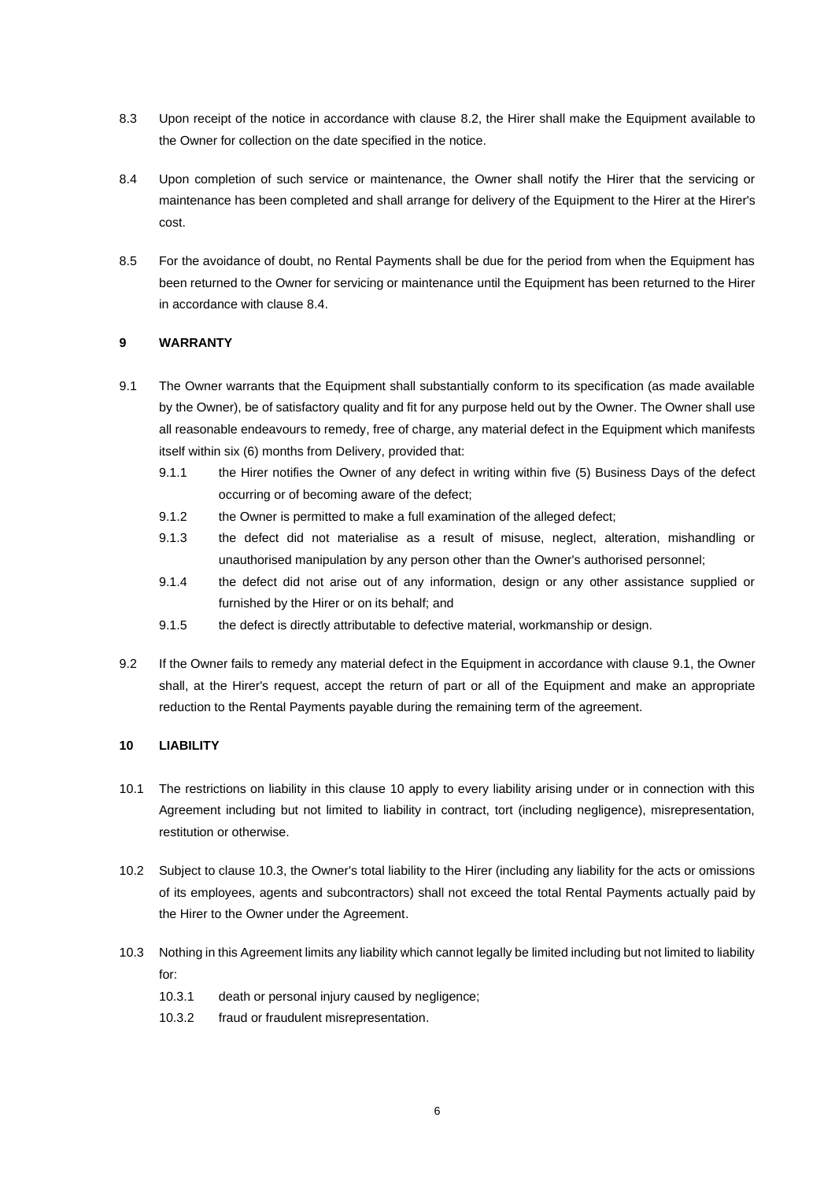- 8.3 Upon receipt of the notice in accordance with clause [8.2,](#page-4-0) the Hirer shall make the Equipment available to the Owner for collection on the date specified in the notice.
- <span id="page-5-0"></span>8.4 Upon completion of such service or maintenance, the Owner shall notify the Hirer that the servicing or maintenance has been completed and shall arrange for delivery of the Equipment to the Hirer at the Hirer's cost.
- 8.5 For the avoidance of doubt, no Rental Payments shall be due for the period from when the Equipment has been returned to the Owner for servicing or maintenance until the Equipment has been returned to the Hirer in accordance with clause [8.4.](#page-5-0)

## **9 WARRANTY**

- <span id="page-5-1"></span>9.1 The Owner warrants that the Equipment shall substantially conform to its specification (as made available by the Owner), be of satisfactory quality and fit for any purpose held out by the Owner. The Owner shall use all reasonable endeavours to remedy, free of charge, any material defect in the Equipment which manifests itself within six (6) months from Delivery, provided that:
	- 9.1.1 the Hirer notifies the Owner of any defect in writing within five (5) Business Days of the defect occurring or of becoming aware of the defect;
	- 9.1.2 the Owner is permitted to make a full examination of the alleged defect;
	- 9.1.3 the defect did not materialise as a result of misuse, neglect, alteration, mishandling or unauthorised manipulation by any person other than the Owner's authorised personnel;
	- 9.1.4 the defect did not arise out of any information, design or any other assistance supplied or furnished by the Hirer or on its behalf; and
	- 9.1.5 the defect is directly attributable to defective material, workmanship or design.
- 9.2 If the Owner fails to remedy any material defect in the Equipment in accordance with claus[e 9.1,](#page-5-1) the Owner shall, at the Hirer's request, accept the return of part or all of the Equipment and make an appropriate reduction to the Rental Payments payable during the remaining term of the agreement.

# <span id="page-5-2"></span>**10 LIABILITY**

- 10.1 The restrictions on liability in this clause [10](#page-5-2) apply to every liability arising under or in connection with this Agreement including but not limited to liability in contract, tort (including negligence), misrepresentation, restitution or otherwise.
- 10.2 Subject to claus[e 10.3,](#page-5-3) the Owner's total liability to the Hirer (including any liability for the acts or omissions of its employees, agents and subcontractors) shall not exceed the total Rental Payments actually paid by the Hirer to the Owner under the Agreement.
- <span id="page-5-3"></span>10.3 Nothing in this Agreement limits any liability which cannot legally be limited including but not limited to liability for:
	- 10.3.1 death or personal injury caused by negligence;
	- 10.3.2 fraud or fraudulent misrepresentation.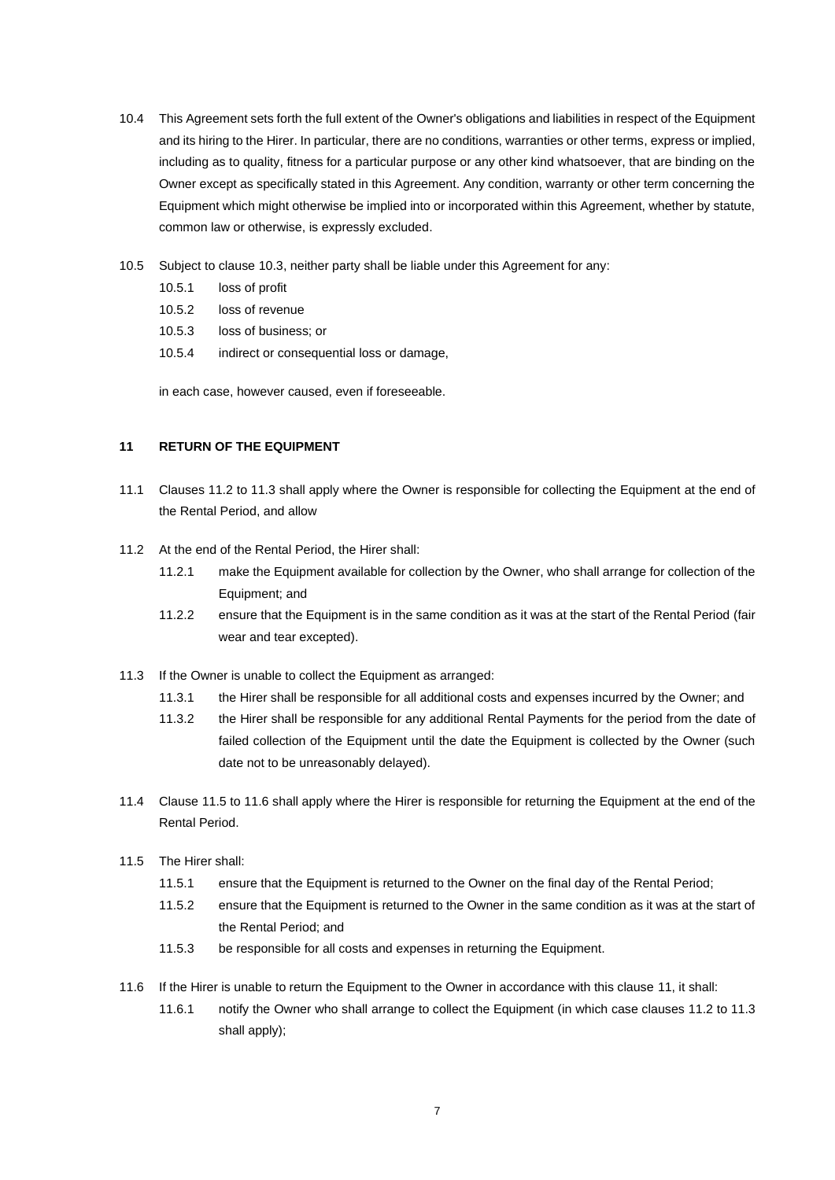- 10.4 This Agreement sets forth the full extent of the Owner's obligations and liabilities in respect of the Equipment and its hiring to the Hirer. In particular, there are no conditions, warranties or other terms, express or implied, including as to quality, fitness for a particular purpose or any other kind whatsoever, that are binding on the Owner except as specifically stated in this Agreement. Any condition, warranty or other term concerning the Equipment which might otherwise be implied into or incorporated within this Agreement, whether by statute, common law or otherwise, is expressly excluded.
- 10.5 Subject to clause [10.3,](#page-5-3) neither party shall be liable under this Agreement for any:
	- 10.5.1 loss of profit
	- 10.5.2 loss of revenue
	- 10.5.3 loss of business; or
	- 10.5.4 indirect or consequential loss or damage,

in each case, however caused, even if foreseeable.

# <span id="page-6-0"></span>**11 RETURN OF THE EQUIPMENT**

- 11.1 Clauses [11.2](#page-6-1) to [11.3](#page-6-2) shall apply where the Owner is responsible for collecting the Equipment at the end of the Rental Period, and allow
- <span id="page-6-1"></span>11.2 At the end of the Rental Period, the Hirer shall:
	- 11.2.1 make the Equipment available for collection by the Owner, who shall arrange for collection of the Equipment; and
	- 11.2.2 ensure that the Equipment is in the same condition as it was at the start of the Rental Period (fair wear and tear excepted).
- <span id="page-6-2"></span>11.3 If the Owner is unable to collect the Equipment as arranged:
	- 11.3.1 the Hirer shall be responsible for all additional costs and expenses incurred by the Owner; and
	- 11.3.2 the Hirer shall be responsible for any additional Rental Payments for the period from the date of failed collection of the Equipment until the date the Equipment is collected by the Owner (such date not to be unreasonably delayed).
- 11.4 Clause [11.5](#page-6-3) to [11.6](#page-6-4) shall apply where the Hirer is responsible for returning the Equipment at the end of the Rental Period.
- <span id="page-6-3"></span>11.5 The Hirer shall:
	- 11.5.1 ensure that the Equipment is returned to the Owner on the final day of the Rental Period;
	- 11.5.2 ensure that the Equipment is returned to the Owner in the same condition as it was at the start of the Rental Period; and
	- 11.5.3 be responsible for all costs and expenses in returning the Equipment.
- <span id="page-6-4"></span>11.6 If the Hirer is unable to return the Equipment to the Owner in accordance with this clause [11,](#page-6-0) it shall:
	- 11.6.1 notify the Owner who shall arrange to collect the Equipment (in which case clauses [11.2](#page-6-1) to [11.3](#page-6-2) shall apply);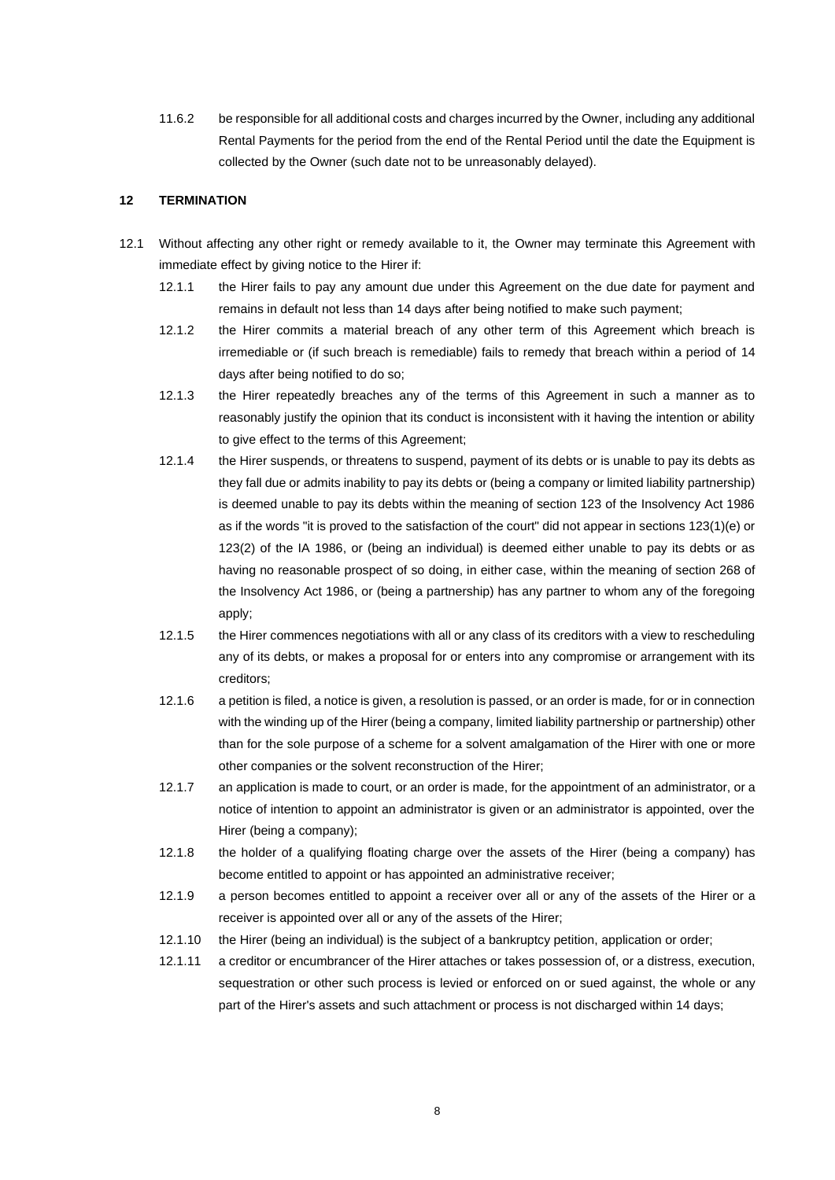11.6.2 be responsible for all additional costs and charges incurred by the Owner, including any additional Rental Payments for the period from the end of the Rental Period until the date the Equipment is collected by the Owner (such date not to be unreasonably delayed).

#### **12 TERMINATION**

- <span id="page-7-3"></span><span id="page-7-2"></span><span id="page-7-1"></span><span id="page-7-0"></span>12.1 Without affecting any other right or remedy available to it, the Owner may terminate this Agreement with immediate effect by giving notice to the Hirer if:
	- 12.1.1 the Hirer fails to pay any amount due under this Agreement on the due date for payment and remains in default not less than 14 days after being notified to make such payment;
	- 12.1.2 the Hirer commits a material breach of any other term of this Agreement which breach is irremediable or (if such breach is remediable) fails to remedy that breach within a period of 14 days after being notified to do so;
	- 12.1.3 the Hirer repeatedly breaches any of the terms of this Agreement in such a manner as to reasonably justify the opinion that its conduct is inconsistent with it having the intention or ability to give effect to the terms of this Agreement;
	- 12.1.4 the Hirer suspends, or threatens to suspend, payment of its debts or is unable to pay its debts as they fall due or admits inability to pay its debts or (being a company or limited liability partnership) is deemed unable to pay its debts within the meaning of section 123 of the Insolvency Act 1986 as if the words "it is proved to the satisfaction of the court" did not appear in sections 123(1)(e) or 123(2) of the IA 1986, or (being an individual) is deemed either unable to pay its debts or as having no reasonable prospect of so doing, in either case, within the meaning of section 268 of the Insolvency Act 1986, or (being a partnership) has any partner to whom any of the foregoing apply;
	- 12.1.5 the Hirer commences negotiations with all or any class of its creditors with a view to rescheduling any of its debts, or makes a proposal for or enters into any compromise or arrangement with its creditors;
	- 12.1.6 a petition is filed, a notice is given, a resolution is passed, or an order is made, for or in connection with the winding up of the Hirer (being a company, limited liability partnership or partnership) other than for the sole purpose of a scheme for a solvent amalgamation of the Hirer with one or more other companies or the solvent reconstruction of the Hirer;
	- 12.1.7 an application is made to court, or an order is made, for the appointment of an administrator, or a notice of intention to appoint an administrator is given or an administrator is appointed, over the Hirer (being a company);
	- 12.1.8 the holder of a qualifying floating charge over the assets of the Hirer (being a company) has become entitled to appoint or has appointed an administrative receiver;
	- 12.1.9 a person becomes entitled to appoint a receiver over all or any of the assets of the Hirer or a receiver is appointed over all or any of the assets of the Hirer;
	- 12.1.10 the Hirer (being an individual) is the subject of a bankruptcy petition, application or order;
	- 12.1.11 a creditor or encumbrancer of the Hirer attaches or takes possession of, or a distress, execution, sequestration or other such process is levied or enforced on or sued against, the whole or any part of the Hirer's assets and such attachment or process is not discharged within 14 days;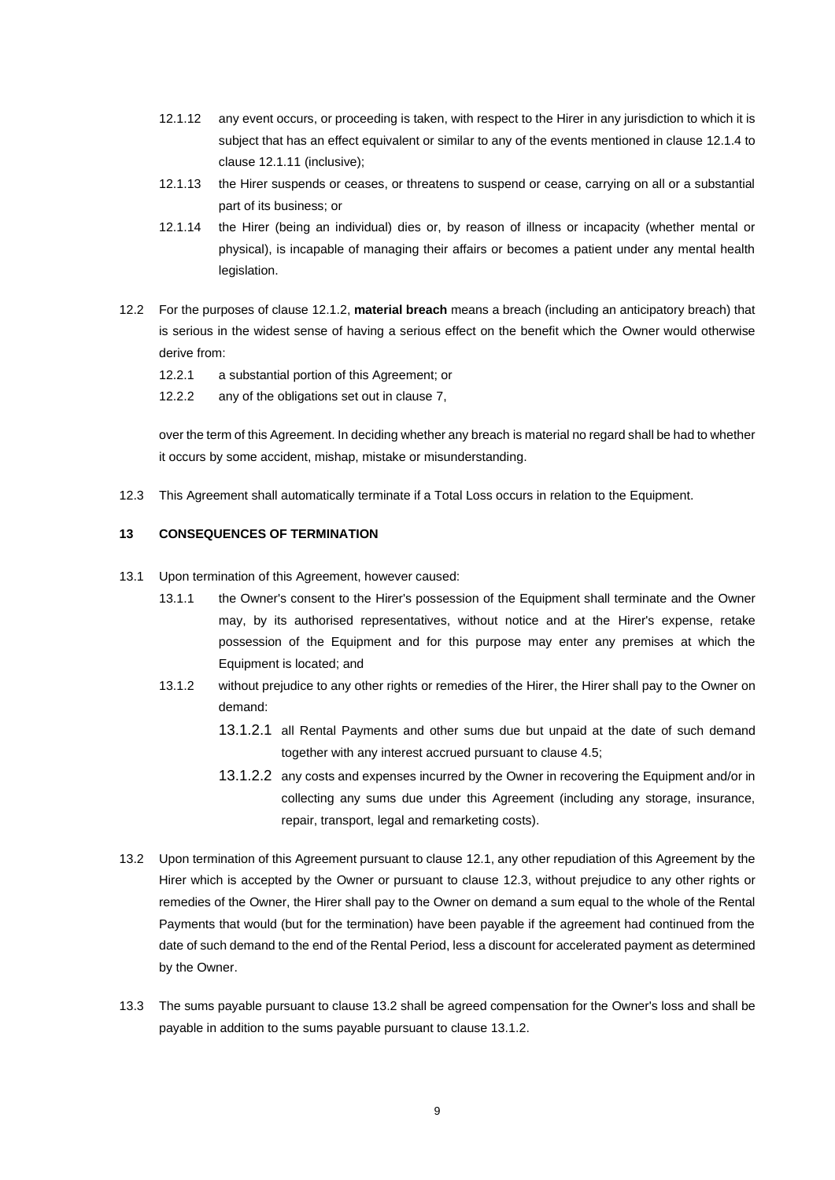- 12.1.12 any event occurs, or proceeding is taken, with respect to the Hirer in any jurisdiction to which it is subject that has an effect equivalent or similar to any of the events mentioned in claus[e 12.1.4](#page-7-0) to claus[e 12.1.11](#page-7-1) (inclusive);
- 12.1.13 the Hirer suspends or ceases, or threatens to suspend or cease, carrying on all or a substantial part of its business; or
- 12.1.14 the Hirer (being an individual) dies or, by reason of illness or incapacity (whether mental or physical), is incapable of managing their affairs or becomes a patient under any mental health legislation.
- 12.2 For the purposes of clause [12.1.2,](#page-7-2) **material breach** means a breach (including an anticipatory breach) that is serious in the widest sense of having a serious effect on the benefit which the Owner would otherwise derive from:
	- 12.2.1 a substantial portion of this Agreement; or
	- 12.2.2 any of the obligations set out in clause [7,](#page-3-3)

over the term of this Agreement. In deciding whether any breach is material no regard shall be had to whether it occurs by some accident, mishap, mistake or misunderstanding.

<span id="page-8-0"></span>12.3 This Agreement shall automatically terminate if a Total Loss occurs in relation to the Equipment.

# **13 CONSEQUENCES OF TERMINATION**

- <span id="page-8-2"></span>13.1 Upon termination of this Agreement, however caused:
	- 13.1.1 the Owner's consent to the Hirer's possession of the Equipment shall terminate and the Owner may, by its authorised representatives, without notice and at the Hirer's expense, retake possession of the Equipment and for this purpose may enter any premises at which the Equipment is located; and
	- 13.1.2 without prejudice to any other rights or remedies of the Hirer, the Hirer shall pay to the Owner on demand:
		- 13.1.2.1 all Rental Payments and other sums due but unpaid at the date of such demand together with any interest accrued pursuant to clause [4.5;](#page-1-3)
		- 13.1.2.2 any costs and expenses incurred by the Owner in recovering the Equipment and/or in collecting any sums due under this Agreement (including any storage, insurance, repair, transport, legal and remarketing costs).
- <span id="page-8-1"></span>13.2 Upon termination of this Agreement pursuant to claus[e 12.1,](#page-7-3) any other repudiation of this Agreement by the Hirer which is accepted by the Owner or pursuant to clause [12.3,](#page-8-0) without prejudice to any other rights or remedies of the Owner, the Hirer shall pay to the Owner on demand a sum equal to the whole of the Rental Payments that would (but for the termination) have been payable if the agreement had continued from the date of such demand to the end of the Rental Period, less a discount for accelerated payment as determined by the Owner.
- 13.3 The sums payable pursuant to claus[e 13.2](#page-8-1) shall be agreed compensation for the Owner's loss and shall be payable in addition to the sums payable pursuant to clause [13.1.2.](#page-8-2)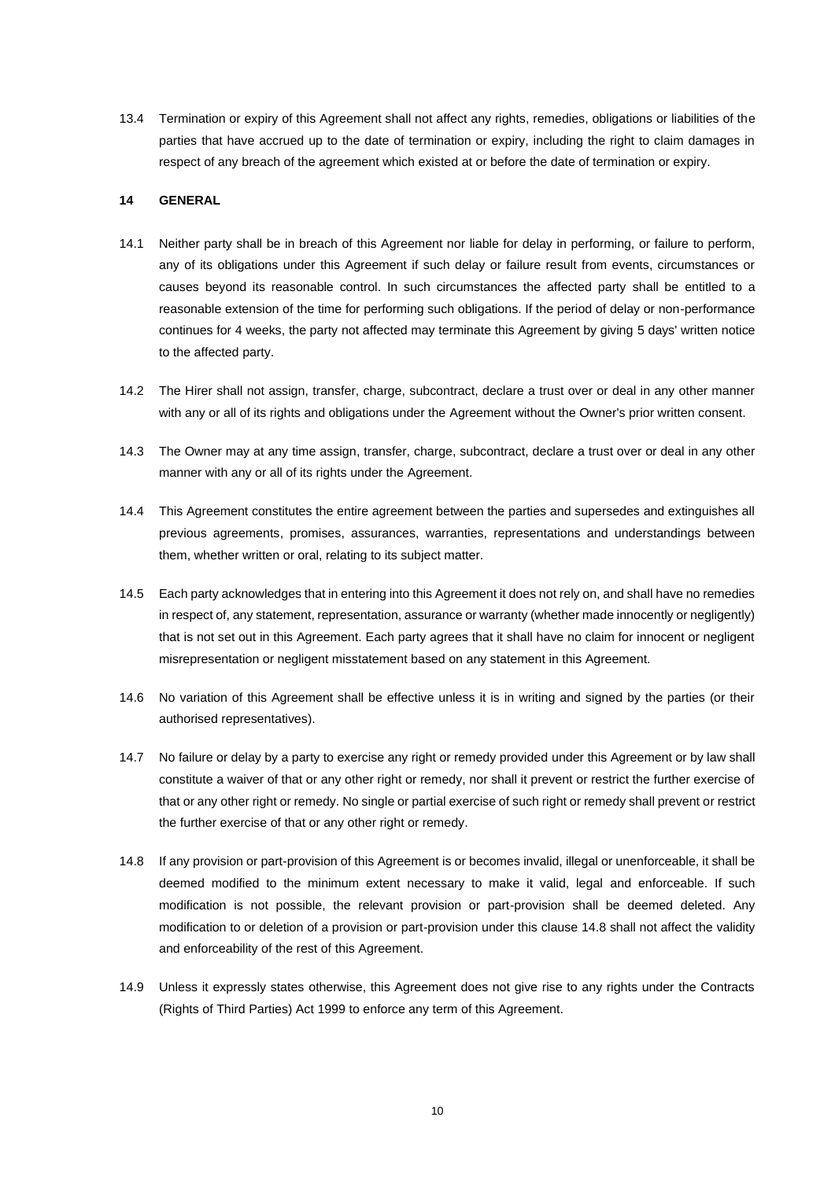13.4 Termination or expiry of this Agreement shall not affect any rights, remedies, obligations or liabilities of the parties that have accrued up to the date of termination or expiry, including the right to claim damages in respect of any breach of the agreement which existed at or before the date of termination or expiry.

#### **14 GENERAL**

- 14.1 Neither party shall be in breach of this Agreement nor liable for delay in performing, or failure to perform, any of its obligations under this Agreement if such delay or failure result from events, circumstances or causes beyond its reasonable control. In such circumstances the affected party shall be entitled to a reasonable extension of the time for performing such obligations. If the period of delay or non-performance continues for 4 weeks, the party not affected may terminate this Agreement by giving 5 days' written notice to the affected party.
- 14.2 The Hirer shall not assign, transfer, charge, subcontract, declare a trust over or deal in any other manner with any or all of its rights and obligations under the Agreement without the Owner's prior written consent.
- 14.3 The Owner may at any time assign, transfer, charge, subcontract, declare a trust over or deal in any other manner with any or all of its rights under the Agreement.
- 14.4 This Agreement constitutes the entire agreement between the parties and supersedes and extinguishes all previous agreements, promises, assurances, warranties, representations and understandings between them, whether written or oral, relating to its subject matter.
- 14.5 Each party acknowledges that in entering into this Agreement it does not rely on, and shall have no remedies in respect of, any statement, representation, assurance or warranty (whether made innocently or negligently) that is not set out in this Agreement. Each party agrees that it shall have no claim for innocent or negligent misrepresentation or negligent misstatement based on any statement in this Agreement.
- 14.6 No variation of this Agreement shall be effective unless it is in writing and signed by the parties (or their authorised representatives).
- 14.7 No failure or delay by a party to exercise any right or remedy provided under this Agreement or by law shall constitute a waiver of that or any other right or remedy, nor shall it prevent or restrict the further exercise of that or any other right or remedy. No single or partial exercise of such right or remedy shall prevent or restrict the further exercise of that or any other right or remedy.
- <span id="page-9-0"></span>14.8 If any provision or part-provision of this Agreement is or becomes invalid, illegal or unenforceable, it shall be deemed modified to the minimum extent necessary to make it valid, legal and enforceable. If such modification is not possible, the relevant provision or part-provision shall be deemed deleted. Any modification to or deletion of a provision or part-provision under this claus[e 14.8](#page-9-0) shall not affect the validity and enforceability of the rest of this Agreement.
- 14.9 Unless it expressly states otherwise, this Agreement does not give rise to any rights under the Contracts (Rights of Third Parties) Act 1999 to enforce any term of this Agreement.